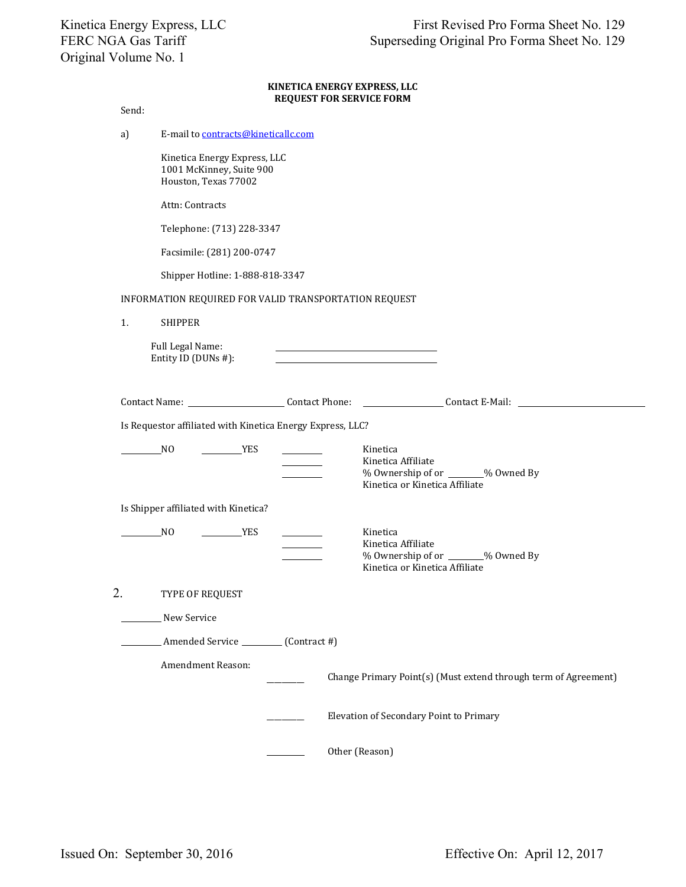## **KINETICA ENERGY EXPRESS, LLC**

| Send: |                                                                                           | <b>REQUEST FOR SERVICE FORM</b> |  |                                                                                                        |  |  |  |
|-------|-------------------------------------------------------------------------------------------|---------------------------------|--|--------------------------------------------------------------------------------------------------------|--|--|--|
| a)    | E-mail to contracts@kineticallc.com                                                       |                                 |  |                                                                                                        |  |  |  |
|       | Kinetica Energy Express, LLC<br>1001 McKinney, Suite 900<br>Houston, Texas 77002          |                                 |  |                                                                                                        |  |  |  |
|       | Attn: Contracts                                                                           |                                 |  |                                                                                                        |  |  |  |
|       | Telephone: (713) 228-3347<br>Facsimile: (281) 200-0747<br>Shipper Hotline: 1-888-818-3347 |                                 |  |                                                                                                        |  |  |  |
|       |                                                                                           |                                 |  |                                                                                                        |  |  |  |
|       |                                                                                           |                                 |  |                                                                                                        |  |  |  |
|       | INFORMATION REQUIRED FOR VALID TRANSPORTATION REQUEST                                     |                                 |  |                                                                                                        |  |  |  |
| 1.    | <b>SHIPPER</b>                                                                            |                                 |  |                                                                                                        |  |  |  |
|       | Full Legal Name:<br>Entity ID (DUNs #):                                                   |                                 |  |                                                                                                        |  |  |  |
|       |                                                                                           |                                 |  |                                                                                                        |  |  |  |
|       |                                                                                           |                                 |  |                                                                                                        |  |  |  |
|       | Is Requestor affiliated with Kinetica Energy Express, LLC?                                |                                 |  |                                                                                                        |  |  |  |
|       | NO <sub>N</sub><br><b>THES</b>                                                            |                                 |  | Kinetica<br>Kinetica Affiliate<br>% Ownership of or ______% Owned By<br>Kinetica or Kinetica Affiliate |  |  |  |
|       | Is Shipper affiliated with Kinetica?                                                      |                                 |  |                                                                                                        |  |  |  |
|       | N <sub>0</sub><br><b>THES</b>                                                             | <u> 1990 - Jan Jawa</u>         |  | Kinetica<br>Kinetica Affiliate<br>% Ownership of or ______% Owned By<br>Kinetica or Kinetica Affiliate |  |  |  |
| 2.    | TYPE OF REQUEST                                                                           |                                 |  |                                                                                                        |  |  |  |
|       | New Service                                                                               |                                 |  |                                                                                                        |  |  |  |
|       | Amended Service _________ (Contract #)                                                    |                                 |  |                                                                                                        |  |  |  |
|       | Amendment Reason:                                                                         |                                 |  | Change Primary Point(s) (Must extend through term of Agreement)                                        |  |  |  |
|       |                                                                                           |                                 |  | Elevation of Secondary Point to Primary                                                                |  |  |  |
|       |                                                                                           |                                 |  | Other (Reason)                                                                                         |  |  |  |
|       |                                                                                           |                                 |  |                                                                                                        |  |  |  |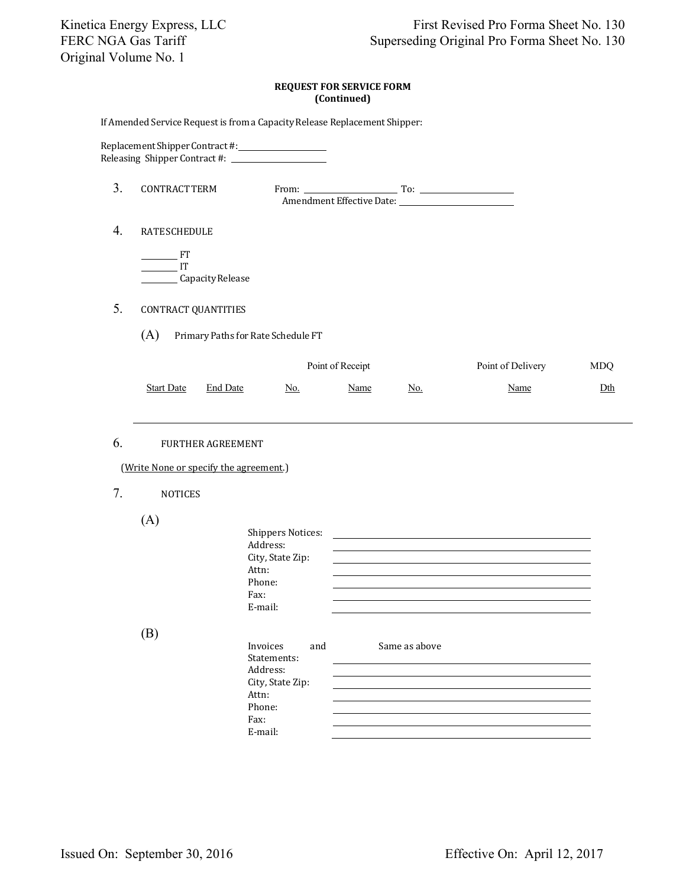## **REQUEST FOR SERVICE FORM (Continued)**

|    |                                                             | If Amended Service Request is from a Capacity Release Replacement Shipper:                           |                                 |                                                  |                                                                                                                                                                                                                                                                                            |                   |
|----|-------------------------------------------------------------|------------------------------------------------------------------------------------------------------|---------------------------------|--------------------------------------------------|--------------------------------------------------------------------------------------------------------------------------------------------------------------------------------------------------------------------------------------------------------------------------------------------|-------------------|
|    |                                                             | Replacement Shipper Contract #: ____________________                                                 |                                 |                                                  |                                                                                                                                                                                                                                                                                            |                   |
| 3. | <b>CONTRACT TERM</b>                                        |                                                                                                      |                                 | From: $\qquad \qquad \qquad$ To: $\qquad \qquad$ |                                                                                                                                                                                                                                                                                            |                   |
| 4. | RATE SCHEDULE<br><b>ET</b><br>$\frac{1}{1}$ IT              |                                                                                                      |                                 |                                                  |                                                                                                                                                                                                                                                                                            |                   |
| 5. | Capacity Release<br>CONTRACT QUANTITIES<br>(A)              | Primary Paths for Rate Schedule FT                                                                   |                                 |                                                  |                                                                                                                                                                                                                                                                                            |                   |
|    | <b>Start Date</b>                                           | <b>End Date</b><br><u>No.</u>                                                                        | Point of Receipt<br><b>Name</b> | <u>No.</u>                                       | Point of Delivery<br><b>Name</b>                                                                                                                                                                                                                                                           | <b>MDQ</b><br>Dth |
| 6. | FURTHER AGREEMENT<br>(Write None or specify the agreement.) |                                                                                                      |                                 |                                                  |                                                                                                                                                                                                                                                                                            |                   |
| 7. | <b>NOTICES</b>                                              |                                                                                                      |                                 |                                                  |                                                                                                                                                                                                                                                                                            |                   |
|    | (A)                                                         | <b>Shippers Notices:</b><br>Address:<br>City, State Zip:<br>Attn:<br>Phone:<br>Fax:<br>E-mail:       |                                 |                                                  | <u> 1989 - Johann John Stone, Amerikaansk politiker (</u><br>the control of the control of the control of the control of the control of the control of the control of the control of the control of the control of the control of the control of the control of the control of the control |                   |
|    | (B)                                                         | Invoices<br>and<br>Statements:<br>Address:<br>City, State Zip:<br>Attn:<br>Phone:<br>Fax:<br>E-mail: |                                 | Same as above                                    |                                                                                                                                                                                                                                                                                            |                   |